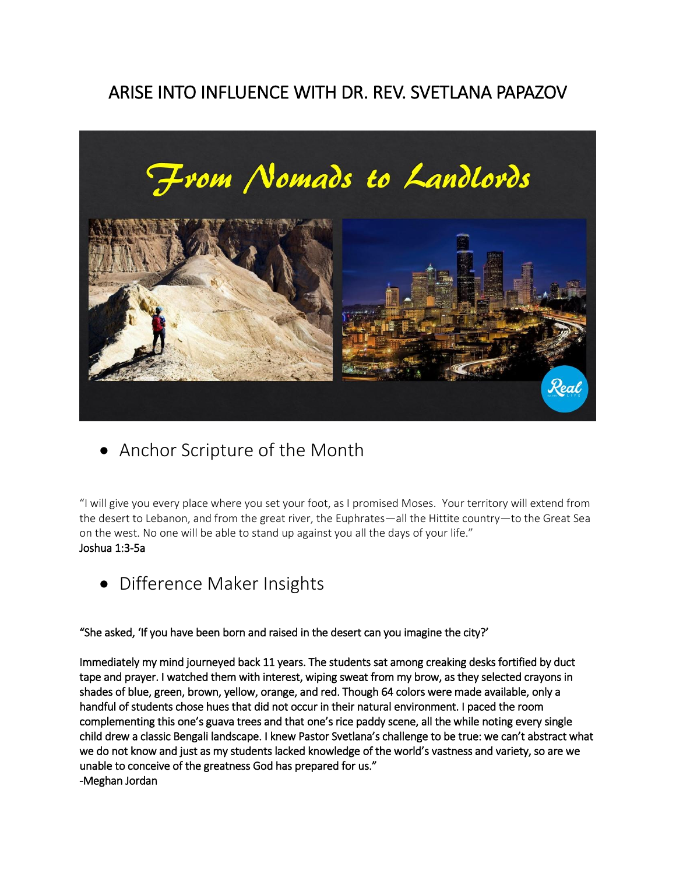# ARISE INTO INFLUENCE WITH DR. REV. SVETLANA PAPAZOV



Anchor Scripture of the Month

"I will give you every place where you set your foot, as I promised Moses. Your territory will extend from the desert to Lebanon, and from the great river, the Euphrates—all the Hittite country—to the Great Sea on the west. No one will be able to stand up against you all the days of your life." Joshua 1:3-5a

• Difference Maker Insights

"She asked, 'If you have been born and raised in the desert can you imagine the city?'

Immediately my mind journeyed back 11 years. The students sat among creaking desks fortified by duct tape and prayer. I watched them with interest, wiping sweat from my brow, as they selected crayons in shades of blue, green, brown, yellow, orange, and red. Though 64 colors were made available, only a handful of students chose hues that did not occur in their natural environment. I paced the room complementing this one's guava trees and that one's rice paddy scene, all the while noting every single child drew a classic Bengali landscape. I knew Pastor Svetlana's challenge to be true: we can't abstract what we do not know and just as my students lacked knowledge of the world's vastness and variety, so are we unable to conceive of the greatness God has prepared for us." -Meghan Jordan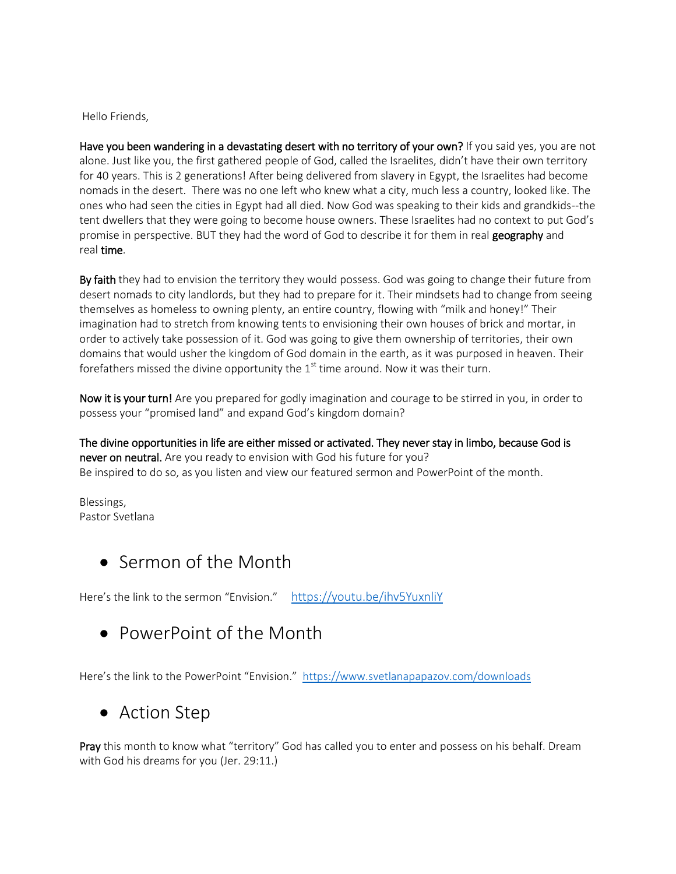Hello Friends,

Have you been wandering in a devastating desert with no territory of your own? If you said yes, you are not alone. Just like you, the first gathered people of God, called the Israelites, didn't have their own territory for 40 years. This is 2 generations! After being delivered from slavery in Egypt, the Israelites had become nomads in the desert. There was no one left who knew what a city, much less a country, looked like. The ones who had seen the cities in Egypt had all died. Now God was speaking to their kids and grandkids--the tent dwellers that they were going to become house owners. These Israelites had no context to put God's promise in perspective. BUT they had the word of God to describe it for them in real geography and real time.

By faith they had to envision the territory they would possess. God was going to change their future from desert nomads to city landlords, but they had to prepare for it. Their mindsets had to change from seeing themselves as homeless to owning plenty, an entire country, flowing with "milk and honey!" Their imagination had to stretch from knowing tents to envisioning their own houses of brick and mortar, in order to actively take possession of it. God was going to give them ownership of territories, their own domains that would usher the kingdom of God domain in the earth, as it was purposed in heaven. Their forefathers missed the divine opportunity the  $1<sup>st</sup>$  time around. Now it was their turn.

Now it is your turn! Are you prepared for godly imagination and courage to be stirred in you, in order to possess your "promised land" and expand God's kingdom domain?

The divine opportunities in life are either missed or activated. They never stay in limbo, because God is never on neutral. Are you ready to envision with God his future for you? Be inspired to do so, as you listen and view our featured sermon and PowerPoint of the month.

Blessings, Pastor Svetlana

Sermon of the Month

Here's the link to the sermon "Envision." <https://youtu.be/ihv5YuxnliY>

PowerPoint of the Month

Here's the link to the PowerPoint "Envision." <https://www.svetlanapapazov.com/downloads>

## Action Step

Pray this month to know what "territory" God has called you to enter and possess on his behalf. Dream with God his dreams for you (Jer. 29:11.)